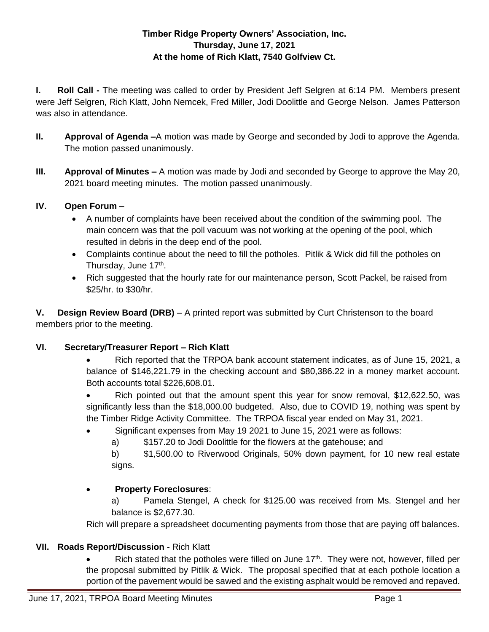## **Timber Ridge Property Owners' Association, Inc. Thursday, June 17, 2021 At the home of Rich Klatt, 7540 Golfview Ct.**

**I. Roll Call -** The meeting was called to order by President Jeff Selgren at 6:14 PM. Members present were Jeff Selgren, Rich Klatt, John Nemcek, Fred Miller, Jodi Doolittle and George Nelson. James Patterson was also in attendance.

- **II. Approval of Agenda –**A motion was made by George and seconded by Jodi to approve the Agenda. The motion passed unanimously.
- **III. Approval of Minutes –** A motion was made by Jodi and seconded by George to approve the May 20, 2021 board meeting minutes. The motion passed unanimously.

## **IV. Open Forum –**

- A number of complaints have been received about the condition of the swimming pool. The main concern was that the poll vacuum was not working at the opening of the pool, which resulted in debris in the deep end of the pool.
- Complaints continue about the need to fill the potholes. Pitlik & Wick did fill the potholes on Thursday, June 17<sup>th</sup>.
- Rich suggested that the hourly rate for our maintenance person, Scott Packel, be raised from \$25/hr. to \$30/hr.

**V. Design Review Board (DRB)** – A printed report was submitted by Curt Christenson to the board members prior to the meeting.

# **VI. Secretary/Treasurer Report – Rich Klatt**

• Rich reported that the TRPOA bank account statement indicates, as of June 15, 2021, a balance of \$146,221.79 in the checking account and \$80,386.22 in a money market account. Both accounts total \$226,608.01.

• Rich pointed out that the amount spent this year for snow removal, \$12,622.50, was significantly less than the \$18,000.00 budgeted. Also, due to COVID 19, nothing was spent by the Timber Ridge Activity Committee. The TRPOA fiscal year ended on May 31, 2021.

- Significant expenses from May 19 2021 to June 15, 2021 were as follows:
	- a) \$157.20 to Jodi Doolittle for the flowers at the gatehouse; and

b) \$1,500.00 to Riverwood Originals, 50% down payment, for 10 new real estate signs.

# **Property Foreclosures**:

a) Pamela Stengel, A check for \$125.00 was received from Ms. Stengel and her balance is \$2,677.30.

Rich will prepare a spreadsheet documenting payments from those that are paying off balances.

# **VII. Roads Report/Discussion** - Rich Klatt

Rich stated that the potholes were filled on June  $17<sup>th</sup>$ . They were not, however, filled per the proposal submitted by Pitlik & Wick. The proposal specified that at each pothole location a portion of the pavement would be sawed and the existing asphalt would be removed and repaved.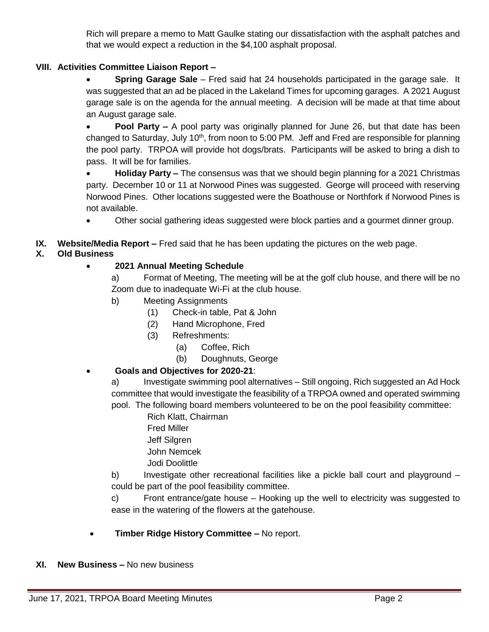Rich will prepare a memo to Matt Gaulke stating our dissatisfaction with the asphalt patches and that we would expect a reduction in the \$4,100 asphalt proposal.

#### **VIII. Activities Committee Liaison Report –**

 **Spring Garage Sale** – Fred said hat 24 households participated in the garage sale. It was suggested that an ad be placed in the Lakeland Times for upcoming garages. A 2021 August garage sale is on the agenda for the annual meeting. A decision will be made at that time about an August garage sale.

 **Pool Party –** A pool party was originally planned for June 26, but that date has been changed to Saturday, July 10<sup>th</sup>, from noon to 5:00 PM. Jeff and Fred are responsible for planning the pool party. TRPOA will provide hot dogs/brats. Participants will be asked to bring a dish to pass. It will be for families.

**• Holiday Party –** The consensus was that we should begin planning for a 2021 Christmas party. December 10 or 11 at Norwood Pines was suggested. George will proceed with reserving Norwood Pines. Other locations suggested were the Boathouse or Northfork if Norwood Pines is not available.

Other social gathering ideas suggested were block parties and a gourmet dinner group.

**IX. Website/Media Report –** Fred said that he has been updating the pictures on the web page.

## **X. Old Business**

## **2021 Annual Meeting Schedule**

a) Format of Meeting, The meeting will be at the golf club house, and there will be no Zoom due to inadequate Wi-Fi at the club house.

- b) Meeting Assignments
	- (1) Check-in table, Pat & John
	- (2) Hand Microphone, Fred
	- (3) Refreshments:
		- (a) Coffee, Rich
		- (b) Doughnuts, George
- **Goals and Objectives for 2020-21**:

a) Investigate swimming pool alternatives – Still ongoing, Rich suggested an Ad Hock committee that would investigate the feasibility of a TRPOA owned and operated swimming pool. The following board members volunteered to be on the pool feasibility committee:

- Rich Klatt, Chairman
- Fred Miller
- Jeff Silgren
- John Nemcek
- Jodi Doolittle

b) Investigate other recreational facilities like a pickle ball court and playground – could be part of the pool feasibility committee.

c) Front entrance/gate house – Hooking up the well to electricity was suggested to ease in the watering of the flowers at the gatehouse.

- **Timber Ridge History Committee –** No report.
- **XI. New Business –** No new business